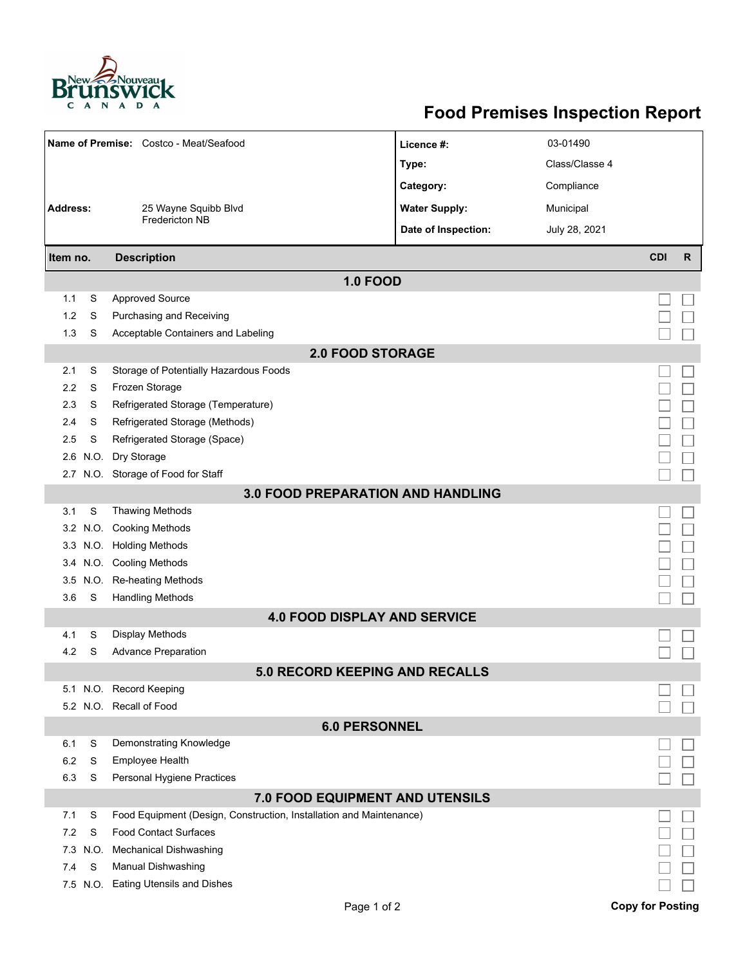

## **Food Premises Inspection Report**

| Name of Premise: Costco - Meat/Seafood |      |                                                                     | Licence #:           | 03-01490       |                         |              |  |  |  |  |  |
|----------------------------------------|------|---------------------------------------------------------------------|----------------------|----------------|-------------------------|--------------|--|--|--|--|--|
|                                        |      |                                                                     | Type:                | Class/Classe 4 |                         |              |  |  |  |  |  |
|                                        |      |                                                                     | Category:            | Compliance     |                         |              |  |  |  |  |  |
| <b>Address:</b>                        |      | 25 Wayne Squibb Blvd                                                | <b>Water Supply:</b> | Municipal      |                         |              |  |  |  |  |  |
|                                        |      | <b>Fredericton NB</b>                                               | Date of Inspection:  | July 28, 2021  |                         |              |  |  |  |  |  |
|                                        |      |                                                                     |                      |                |                         |              |  |  |  |  |  |
| Item no.                               |      | <b>Description</b>                                                  |                      |                | <b>CDI</b>              | $\mathsf{R}$ |  |  |  |  |  |
|                                        |      | <b>1.0 FOOD</b>                                                     |                      |                |                         |              |  |  |  |  |  |
| 1.1                                    | S    | <b>Approved Source</b>                                              |                      |                |                         |              |  |  |  |  |  |
| 1.2                                    | S    | Purchasing and Receiving                                            |                      |                |                         |              |  |  |  |  |  |
| 1.3                                    | S    | Acceptable Containers and Labeling                                  |                      |                |                         |              |  |  |  |  |  |
| <b>2.0 FOOD STORAGE</b>                |      |                                                                     |                      |                |                         |              |  |  |  |  |  |
| 2.1                                    | S    | Storage of Potentially Hazardous Foods                              |                      |                |                         |              |  |  |  |  |  |
| 2.2                                    | S    | Frozen Storage                                                      |                      |                |                         |              |  |  |  |  |  |
| 2.3                                    | S    | Refrigerated Storage (Temperature)                                  |                      |                |                         |              |  |  |  |  |  |
| 2.4                                    | S    | Refrigerated Storage (Methods)                                      |                      |                |                         |              |  |  |  |  |  |
| 2.5                                    | S    | Refrigerated Storage (Space)                                        |                      |                |                         |              |  |  |  |  |  |
| 2.6                                    | N.O. | Dry Storage                                                         |                      |                |                         |              |  |  |  |  |  |
| 2.7                                    |      | N.O. Storage of Food for Staff                                      |                      |                |                         |              |  |  |  |  |  |
|                                        |      | <b>3.0 FOOD PREPARATION AND HANDLING</b>                            |                      |                |                         |              |  |  |  |  |  |
| 3.1                                    | S    | <b>Thawing Methods</b>                                              |                      |                |                         |              |  |  |  |  |  |
| 3.2                                    | N.O. | <b>Cooking Methods</b>                                              |                      |                |                         |              |  |  |  |  |  |
| 3.3                                    |      | N.O. Holding Methods                                                |                      |                |                         |              |  |  |  |  |  |
|                                        |      | 3.4 N.O. Cooling Methods                                            |                      |                |                         |              |  |  |  |  |  |
| 3.5                                    | N.O. | <b>Re-heating Methods</b>                                           |                      |                |                         |              |  |  |  |  |  |
| 3.6                                    | S    | <b>Handling Methods</b>                                             |                      |                |                         |              |  |  |  |  |  |
|                                        |      | <b>4.0 FOOD DISPLAY AND SERVICE</b>                                 |                      |                |                         |              |  |  |  |  |  |
| 4.1                                    | S    | <b>Display Methods</b>                                              |                      |                |                         |              |  |  |  |  |  |
| 4.2                                    | S    | <b>Advance Preparation</b>                                          |                      |                |                         |              |  |  |  |  |  |
|                                        |      | <b>5.0 RECORD KEEPING AND RECALLS</b>                               |                      |                |                         |              |  |  |  |  |  |
|                                        |      | 5.1 N.O. Record Keeping                                             |                      |                |                         |              |  |  |  |  |  |
|                                        |      | 5.2 N.O. Recall of Food                                             |                      |                |                         |              |  |  |  |  |  |
| <b>6.0 PERSONNEL</b>                   |      |                                                                     |                      |                |                         |              |  |  |  |  |  |
| 6.1                                    | S    | Demonstrating Knowledge                                             |                      |                |                         |              |  |  |  |  |  |
| 6.2                                    | S    | Employee Health                                                     |                      |                |                         |              |  |  |  |  |  |
| 6.3                                    | S    | Personal Hygiene Practices                                          |                      |                |                         |              |  |  |  |  |  |
| 7.0 FOOD EQUIPMENT AND UTENSILS        |      |                                                                     |                      |                |                         |              |  |  |  |  |  |
| 7.1                                    | S    | Food Equipment (Design, Construction, Installation and Maintenance) |                      |                |                         |              |  |  |  |  |  |
| 7.2                                    | S    | <b>Food Contact Surfaces</b>                                        |                      |                |                         |              |  |  |  |  |  |
| 7.3                                    | N.O. | <b>Mechanical Dishwashing</b>                                       |                      |                |                         |              |  |  |  |  |  |
| 7.4                                    | S    | Manual Dishwashing                                                  |                      |                |                         |              |  |  |  |  |  |
|                                        |      | 7.5 N.O. Eating Utensils and Dishes                                 |                      |                |                         |              |  |  |  |  |  |
|                                        |      | Page 1 of 2                                                         |                      |                | <b>Copy for Posting</b> |              |  |  |  |  |  |